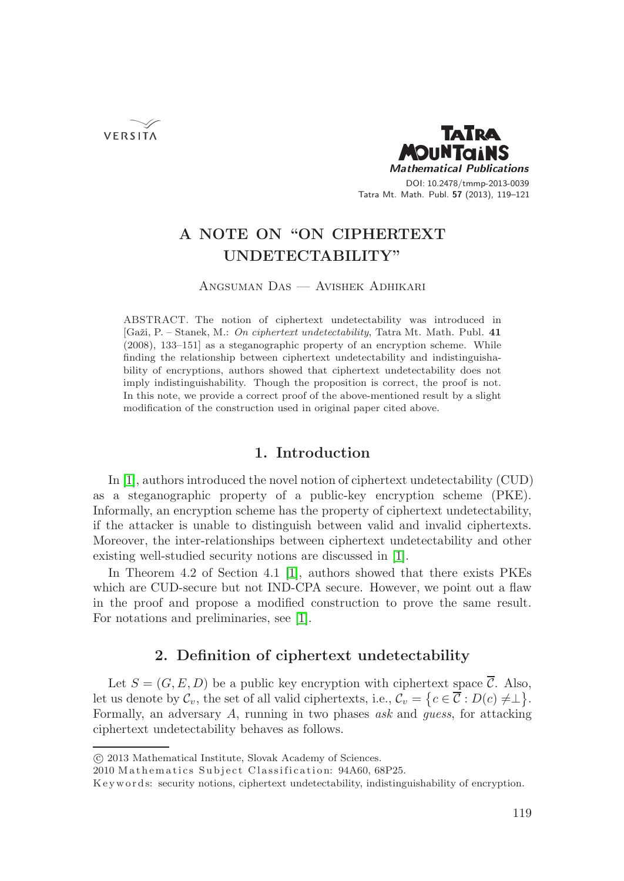VERSITA



# **A NOTE ON "ON CIPHERTEXT UNDETECTABILITY"**

Angsuman Das — Avishek Adhikari

ABSTRACT. The notion of ciphertext undetectability was introduced in [Gaˇzi, P. – Stanek, M.: *On ciphertext undetectability*, Tatra Mt. Math. Publ. **41** (2008), 133–151] as a steganographic property of an encryption scheme. While finding the relationship between ciphertext undetectability and indistinguishability of encryptions, authors showed that ciphertext undetectability does not imply indistinguishability. Though the proposition is correct, the proof is not. In this note, we provide a correct proof of the above-mentioned result by a slight modification of the construction used in original paper cited above.

# **1. Introduction**

In [1], authors introduced the novel notion of ciphertext undetectability (CUD) as a steganographic property of a public-key encryption scheme (PKE). Informally, an encryption scheme has the property of ciphertext undetectability, if the attacker is unable to distinguish between valid and invalid ciphertexts. Moreover, the inter-relationships between ciphertext undetectability and other existing well-studied security notions are discussed in [1].

In Theorem 4.2 of Section 4.1 [1], authors showed that there exists PKEs which are CUD-secure but not IND-CPA secure. However, we point out a flaw in the proof and propose a modified construction to prove the same result. For notations and preliminaries, see [1].

# **2. Definition of ciphertext undetectability**

Let  $S = (G, E, D)$  be a public key encryption with ciphertext space  $\overline{C}$ . Also, Let us denote by  $\mathcal{C}_v$ , the set of all valid ciphertexts, i.e.,  $\mathcal{C}_v = \{c \in \overline{\mathcal{C}} : D(c) \neq \perp\}.$ Formally, an adversary A, running in two phases *ask* and *guess*, for attacking ciphertext undetectability behaves as follows.

<sup>-</sup>c 2013 Mathematical Institute, Slovak Academy of Sciences.

<sup>2010</sup> Mathematics Subject Classification: 94A60, 68P25.

K eyw ords: security notions, ciphertext undetectability, indistinguishability of encryption.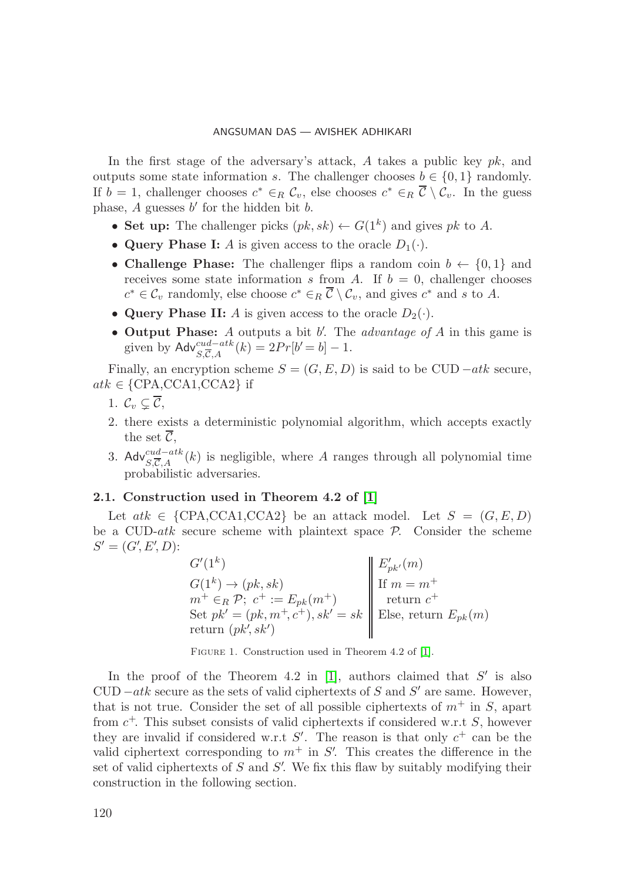In the first stage of the adversary's attack, A takes a public key  $pk$ , and outputs some state information s. The challenger chooses  $b \in \{0, 1\}$  randomly. If  $b = 1$ , challenger chooses  $c^* \in_R \mathcal{C}_v$ , else chooses  $c^* \in_R \overline{\mathcal{C}} \setminus \mathcal{C}_v$ . In the guess phase,  $A$  guesses  $b'$  for the hidden bit  $b$ .

- **Set up:** The challenger picks  $(pk, sk) \leftarrow G(1^k)$  and gives pk to A.
- **Query Phase I:** A is given access to the oracle  $D_1(\cdot)$ .
- **Challenge Phase:** The challenger flips a random coin  $b \leftarrow \{0, 1\}$  and receives some state information s from A. If  $b = 0$ , challenger chooses  $c^* \in \mathcal{C}_v$  randomly, else choose  $c^* \in_R \overline{\mathcal{C}} \setminus \mathcal{C}_v$ , and gives  $c^*$  and s to A.
- **Query Phase II:** A is given access to the oracle  $D_2(\cdot)$ .
- **Output Phase:** A outputs a bit b . The *advantage of* A in this game is given by  $\mathsf{Adv}_{S,\overline{C},A}^{cud-atk}(k) = 2Pr[b' = b] - 1.$

Finally, an encryption scheme  $S = (G, E, D)$  is said to be CUD  $-atk$  secure,  $atk \in \{CPA, CCA1, CCA2\}$  if

- 1.  $\mathcal{C}_v \subsetneq \mathcal{C}$ ,
- 2. there exists a deterministic polynomial algorithm, which accepts exactly the set  $\mathcal{C}$ ,
- 3. Adv<sup>cud−atk</sup>(k) is negligible, where A ranges through all polynomial time probabilistic adversaries.

### **2.1. Construction used in Theorem 4.2 of [1]**

Let  $atk \in \{CPA, CCA1, CCA2\}$  be an attack model. Let  $S = (G, E, D)$ be a CUD- $atk$  secure scheme with plaintext space  $P$ . Consider the scheme  $S' = (G', E', D)$ :

 $G'(1^k)$   $\|E'_{pk'}(m)\|$  $G(1^k) \rightarrow (pk, sk)$  If  $m = m^+$  $m^+ \in_R \mathcal{P}; c^+ := E_{pk}(m^+)$  return  $c^+$ Set  $pk' = (pk, m^+, c^+), sk' = sk \parallel$  Else, return  $E_{pk}(m)$ return  $(pk, sk')$ 

FIGURE 1. Construction used in Theorem 4.2 of [1].

In the proof of the Theorem 4.2 in [1], authors claimed that  $S'$  is also  $\text{CUD}-atk$  secure as the sets of valid ciphertexts of S and S' are same. However, that is not true. Consider the set of all possible ciphertexts of  $m^+$  in S, apart from  $c^+$ . This subset consists of valid ciphertexts if considered w.r.t S, however they are invalid if considered w.r.t  $S'$ . The reason is that only  $c^+$  can be the valid ciphertext corresponding to  $m^+$  in  $S'$ . This creates the difference in the set of valid ciphertexts of  $S$  and  $S'$ . We fix this flaw by suitably modifying their construction in the following section.